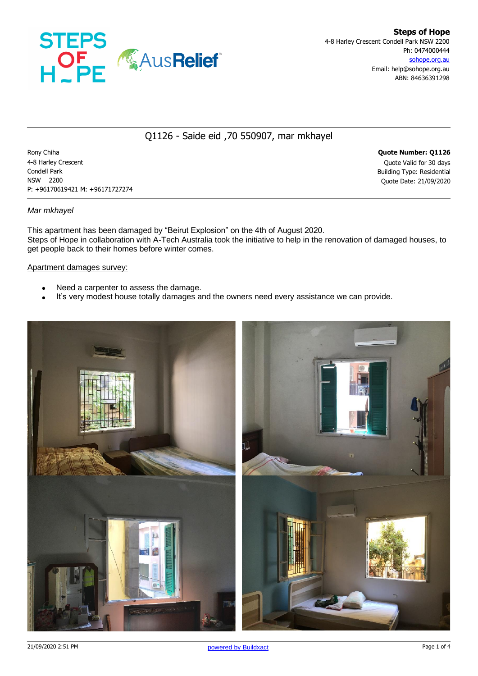

# Q1126 - Saide eid ,70 550907, mar mkhayel

Rony Chiha **Quote Number: Q1126** 4-8 Harley Crescent Quote Valid for 30 days Condell Park Building Type: Residential NSW 2200 Quote Date: 21/09/2020 P: +96170619421 M: +96171727274

### *Mar mkhayel*

This apartment has been damaged by "Beirut Explosion" on the 4th of August 2020. Steps of Hope in collaboration with A-Tech Australia took the initiative to help in the renovation of damaged houses, to get people back to their homes before winter comes.

#### Apartment damages survey:

- Need a carpenter to assess the damage.
- It's very modest house totally damages and the owners need every assistance we can provide.

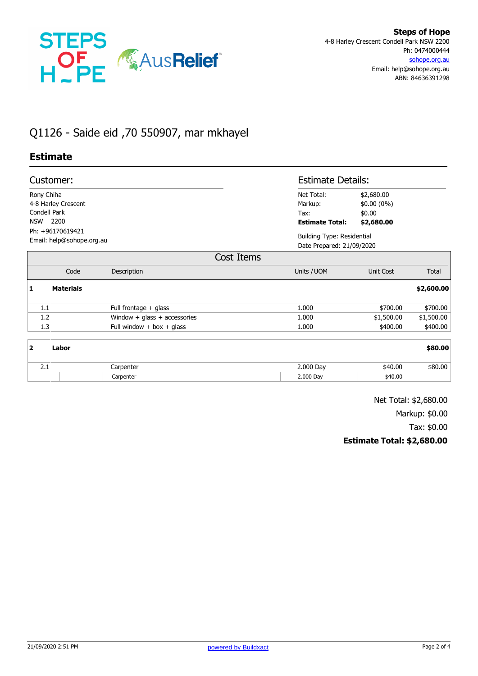

# Q1126 - Saide eid ,70 550907, mar mkhayel

## **Estimate**

| Customer:                                     |                             |                              |                                                         | <b>Estimate Details:</b>                                       |            |  |
|-----------------------------------------------|-----------------------------|------------------------------|---------------------------------------------------------|----------------------------------------------------------------|------------|--|
| Rony Chiha<br>Condell Park<br><b>NSW</b>      | 4-8 Harley Crescent<br>2200 |                              | Net Total:<br>Markup:<br>Tax:<br><b>Estimate Total:</b> | \$2,680.00<br>$$0.00(0\%)$<br>\$0.00<br>\$2,680.00             |            |  |
| Ph: +96170619421<br>Email: help@sohope.org.au |                             |                              |                                                         | <b>Building Type: Residential</b><br>Date Prepared: 21/09/2020 |            |  |
|                                               |                             | Cost Items                   |                                                         |                                                                |            |  |
|                                               | Code                        | Description                  | Units / UOM                                             | Unit Cost                                                      | Total      |  |
| 1                                             | <b>Materials</b>            |                              |                                                         |                                                                | \$2,600.00 |  |
| 1.1                                           |                             | Full frontage + glass        | 1.000                                                   | \$700.00                                                       | \$700.00   |  |
| 1.2                                           |                             | Window + glass + accessories | 1.000                                                   | \$1,500.00                                                     | \$1,500.00 |  |
| 1.3                                           |                             | Full window + box + glass    | 1.000                                                   | \$400.00                                                       | \$400.00   |  |
| $\overline{\mathbf{2}}$                       | Labor                       |                              |                                                         |                                                                | \$80.00    |  |
| 2.1                                           |                             | Carpenter                    | 2.000 Day                                               | \$40.00                                                        | \$80.00    |  |
|                                               |                             | Carpenter                    | 2.000 Day                                               | \$40.00                                                        |            |  |
|                                               |                             |                              |                                                         |                                                                |            |  |

Net Total: \$2,680.00

Markup: \$0.00

Tax: \$0.00

### **Estimate Total: \$2,680.00**